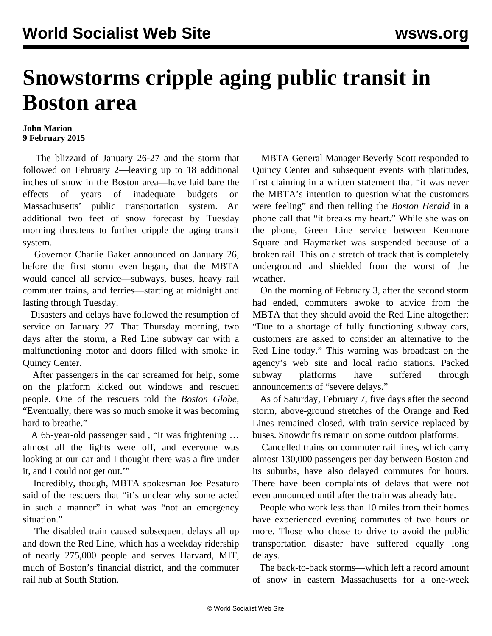## **Snowstorms cripple aging public transit in Boston area**

## **John Marion 9 February 2015**

 The blizzard of January 26-27 and the storm that followed on February 2—leaving up to 18 additional inches of snow in the Boston area—have laid bare the effects of years of inadequate budgets on Massachusetts' public transportation system. An additional two feet of snow forecast by Tuesday morning threatens to further cripple the aging transit system.

 Governor Charlie Baker announced on January 26, before the first storm even began, that the MBTA would cancel all service—subways, buses, heavy rail commuter trains, and ferries—starting at midnight and lasting through Tuesday.

 Disasters and delays have followed the resumption of service on January 27. That Thursday morning, two days after the storm, a Red Line subway car with a malfunctioning motor and doors filled with smoke in Quincy Center.

 After passengers in the car screamed for help, some on the platform kicked out windows and rescued people. One of the rescuers told the *Boston Globe,* "Eventually, there was so much smoke it was becoming hard to breathe."

 A 65-year-old passenger said *,* "It was frightening … almost all the lights were off, and everyone was looking at our car and I thought there was a fire under it, and I could not get out.'"

 Incredibly, though, MBTA spokesman Joe Pesaturo said of the rescuers that "it's unclear why some acted in such a manner" in what was "not an emergency situation."

 The disabled train caused subsequent delays all up and down the Red Line, which has a weekday ridership of nearly 275,000 people and serves Harvard, MIT, much of Boston's financial district, and the commuter rail hub at South Station.

 MBTA General Manager Beverly Scott responded to Quincy Center and subsequent events with platitudes, first claiming in a written statement that "it was never the MBTA's intention to question what the customers were feeling" and then telling the *Boston Herald* in a phone call that "it breaks my heart." While she was on the phone, Green Line service between Kenmore Square and Haymarket was suspended because of a broken rail. This on a stretch of track that is completely underground and shielded from the worst of the weather.

 On the morning of February 3, after the second storm had ended, commuters awoke to advice from the MBTA that they should avoid the Red Line altogether: "Due to a shortage of fully functioning subway cars, customers are asked to consider an alternative to the Red Line today." This warning was broadcast on the agency's web site and local radio stations. Packed subway platforms have suffered through announcements of "severe delays."

 As of Saturday, February 7, five days after the second storm, above-ground stretches of the Orange and Red Lines remained closed, with train service replaced by buses. Snowdrifts remain on some outdoor platforms.

 Cancelled trains on commuter rail lines, which carry almost 130,000 passengers per day between Boston and its suburbs, have also delayed commutes for hours. There have been complaints of delays that were not even announced until after the train was already late.

 People who work less than 10 miles from their homes have experienced evening commutes of two hours or more. Those who chose to drive to avoid the public transportation disaster have suffered equally long delays.

 The back-to-back storms—which left a record amount of snow in eastern Massachusetts for a one-week